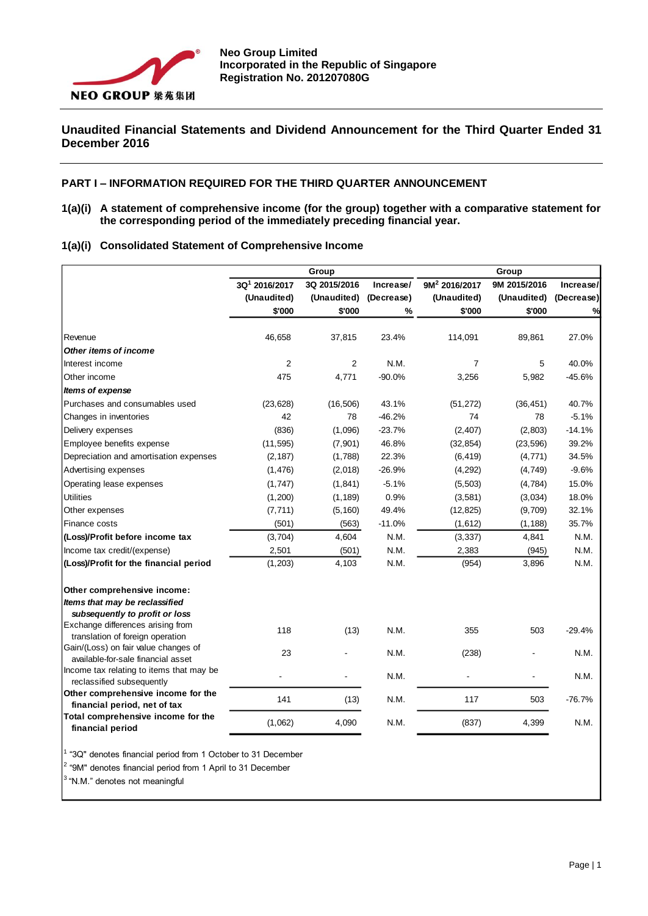

# **Unaudited Financial Statements and Dividend Announcement for the Third Quarter Ended 31 December 2016**

### **PART I – INFORMATION REQUIRED FOR THE THIRD QUARTER ANNOUNCEMENT**

**1(a)(i) A statement of comprehensive income (for the group) together with a comparative statement for the corresponding period of the immediately preceding financial year.**

|  | 1(a)(i) Consolidated Statement of Comprehensive Income |  |
|--|--------------------------------------------------------|--|
|  |                                                        |  |

|                                                                            | Group                     |                |            | Group                     |              |            |  |
|----------------------------------------------------------------------------|---------------------------|----------------|------------|---------------------------|--------------|------------|--|
|                                                                            | 3Q <sup>1</sup> 2016/2017 | 3Q 2015/2016   | Increase/  | 9M <sup>2</sup> 2016/2017 | 9M 2015/2016 | Increase/  |  |
|                                                                            | (Unaudited)               | (Unaudited)    | (Decrease) | (Unaudited)               | (Unaudited)  | (Decrease) |  |
|                                                                            | \$'000                    | \$'000         | %          | \$'000                    | \$'000       | %          |  |
| Revenue                                                                    | 46,658                    | 37,815         | 23.4%      | 114,091                   | 89,861       | 27.0%      |  |
| Other items of income                                                      |                           |                |            |                           |              |            |  |
| Interest income                                                            | $\overline{2}$            | $\overline{2}$ | N.M.       | $\overline{7}$            | 5            | 40.0%      |  |
| Other income                                                               | 475                       | 4,771          | $-90.0%$   | 3,256                     | 5,982        | $-45.6%$   |  |
| Items of expense                                                           |                           |                |            |                           |              |            |  |
| Purchases and consumables used                                             | (23, 628)                 | (16, 506)      | 43.1%      | (51, 272)                 | (36, 451)    | 40.7%      |  |
| Changes in inventories                                                     | 42                        | 78             | $-46.2%$   | 74                        | 78           | $-5.1%$    |  |
| Delivery expenses                                                          | (836)                     | (1,096)        | $-23.7%$   | (2, 407)                  | (2,803)      | $-14.1%$   |  |
| Employee benefits expense                                                  | (11, 595)                 | (7, 901)       | 46.8%      | (32, 854)                 | (23, 596)    | 39.2%      |  |
| Depreciation and amortisation expenses                                     | (2, 187)                  | (1,788)        | 22.3%      | (6, 419)                  | (4, 771)     | 34.5%      |  |
| Advertising expenses                                                       | (1, 476)                  | (2,018)        | $-26.9%$   | (4, 292)                  | (4, 749)     | $-9.6%$    |  |
| Operating lease expenses                                                   | (1,747)                   | (1, 841)       | $-5.1%$    | (5,503)                   | (4,784)      | 15.0%      |  |
| <b>Utilities</b>                                                           | (1,200)                   | (1, 189)       | 0.9%       | (3,581)                   | (3,034)      | 18.0%      |  |
| Other expenses                                                             | (7, 711)                  | (5, 160)       | 49.4%      | (12, 825)                 | (9,709)      | 32.1%      |  |
| Finance costs                                                              | (501)                     | (563)          | $-11.0%$   | (1,612)                   | (1, 188)     | 35.7%      |  |
| (Loss)/Profit before income tax                                            | (3,704)                   | 4,604          | N.M.       | (3, 337)                  | 4,841        | N.M.       |  |
| Income tax credit/(expense)                                                | 2,501                     | (501)          | N.M.       | 2,383                     | (945)        | N.M.       |  |
| (Loss)/Profit for the financial period                                     | (1, 203)                  | 4,103          | N.M.       | (954)                     | 3,896        | N.M.       |  |
| Other comprehensive income:                                                |                           |                |            |                           |              |            |  |
| Items that may be reclassified<br>subsequently to profit or loss           |                           |                |            |                           |              |            |  |
| Exchange differences arising from<br>translation of foreign operation      | 118                       | (13)           | N.M.       | 355                       | 503          | $-29.4%$   |  |
| Gain/(Loss) on fair value changes of<br>available-for-sale financial asset | 23                        |                | N.M.       | (238)                     |              | N.M.       |  |
| Income tax relating to items that may be<br>reclassified subsequently      |                           |                | N.M.       |                           |              | N.M.       |  |
| Other comprehensive income for the<br>financial period, net of tax         | 141                       | (13)           | N.M.       | 117                       | 503          | $-76.7%$   |  |
| Total comprehensive income for the<br>financial period                     | (1,062)                   | 4,090          | N.M.       | (837)                     | 4,399        | N.M.       |  |

<sup>1</sup> "3Q" denotes financial period from 1 October to 31 December

<sup>2</sup> "9M" denotes financial period from 1 April to 31 December

 $3$  "N.M." denotes not meaningful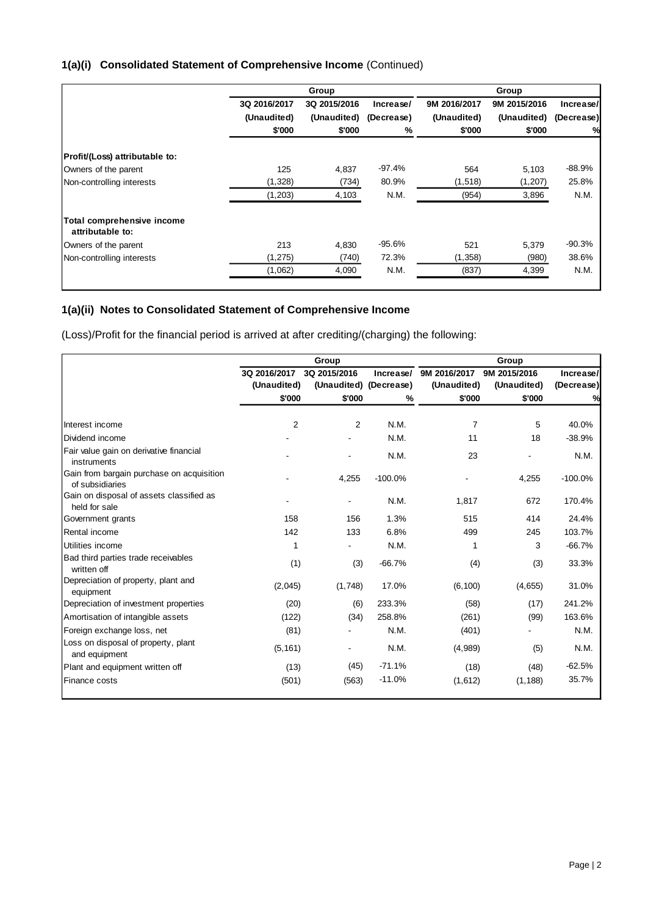|                                                |              | Group        |            |              | Group        |            |
|------------------------------------------------|--------------|--------------|------------|--------------|--------------|------------|
|                                                | 3Q 2016/2017 | 3Q 2015/2016 | Increase/  | 9M 2016/2017 | 9M 2015/2016 | Increase/  |
|                                                | (Unaudited)  | (Unaudited)  | (Decrease) | (Unaudited)  | (Unaudited)  | (Decrease) |
|                                                | \$'000       | \$'000       | %          | \$'000       | \$'000       | %          |
| Profit/(Loss) attributable to:                 |              |              |            |              |              |            |
| Owners of the parent                           | 125          | 4,837        | $-97.4%$   | 564          | 5,103        | $-88.9%$   |
| Non-controlling interests                      | (1,328)      | (734)        | 80.9%      | (1, 518)     | (1,207)      | 25.8%      |
|                                                | (1,203)      | 4,103        | N.M.       | (954)        | 3,896        | N.M.       |
| Total comprehensive income<br>attributable to: |              |              |            |              |              |            |
| Owners of the parent                           | 213          | 4.830        | $-95.6%$   | 521          | 5,379        | $-90.3%$   |
| Non-controlling interests                      | (1, 275)     | (740)        | 72.3%      | (1,358)      | (980)        | 38.6%      |
|                                                | (1,062)      | 4,090        | N.M.       | (837)        | 4,399        | N.M.       |
|                                                |              |              |            |              |              |            |

# **1(a)(ii) Notes to Consolidated Statement of Comprehensive Income**

(Loss)/Profit for the financial period is arrived at after crediting/(charging) the following:

|                                                              |                | Group                    |           | Group          |              |            |  |  |
|--------------------------------------------------------------|----------------|--------------------------|-----------|----------------|--------------|------------|--|--|
|                                                              | 3Q 2016/2017   | 3Q 2015/2016             | Increase/ | 9M 2016/2017   | 9M 2015/2016 | Increase/  |  |  |
|                                                              | (Unaudited)    | (Unaudited) (Decrease)   |           | (Unaudited)    | (Unaudited)  | (Decrease) |  |  |
|                                                              | \$'000         | \$'000                   | %         | \$'000         | \$'000       | %          |  |  |
| Interest income                                              | $\overline{2}$ | 2                        | N.M.      | $\overline{7}$ | 5            | 40.0%      |  |  |
|                                                              |                |                          |           |                |              |            |  |  |
| Dividend income                                              |                |                          | N.M.      | 11             | 18           | $-38.9%$   |  |  |
| Fair value gain on derivative financial<br>instruments       |                |                          | N.M.      | 23             |              | N.M.       |  |  |
| Gain from bargain purchase on acquisition<br>of subsidiaries |                | 4,255                    | $-100.0%$ |                | 4,255        | $-100.0%$  |  |  |
| Gain on disposal of assets classified as<br>held for sale    |                |                          | N.M.      | 1,817          | 672          | 170.4%     |  |  |
| Government grants                                            | 158            | 156                      | 1.3%      | 515            | 414          | 24.4%      |  |  |
| Rental income                                                | 142            | 133                      | 6.8%      | 499            | 245          | 103.7%     |  |  |
| Utilities income                                             | 1              |                          | N.M.      | 1              | 3            | $-66.7%$   |  |  |
| Bad third parties trade receivables<br>written off           | (1)            | (3)                      | $-66.7%$  | (4)            | (3)          | 33.3%      |  |  |
| Depreciation of property, plant and<br>equipment             | (2,045)        | (1,748)                  | 17.0%     | (6, 100)       | (4,655)      | 31.0%      |  |  |
| Depreciation of investment properties                        | (20)           | (6)                      | 233.3%    | (58)           | (17)         | 241.2%     |  |  |
| Amortisation of intangible assets                            | (122)          | (34)                     | 258.8%    | (261)          | (99)         | 163.6%     |  |  |
| Foreign exchange loss, net                                   | (81)           |                          | N.M.      | (401)          |              | N.M.       |  |  |
| Loss on disposal of property, plant<br>and equipment         | (5, 161)       | $\overline{\phantom{0}}$ | N.M.      | (4,989)        | (5)          | N.M.       |  |  |
| Plant and equipment written off                              | (13)           | (45)                     | $-71.1%$  | (18)           | (48)         | $-62.5%$   |  |  |
| Finance costs                                                | (501)          | (563)                    | $-11.0%$  | (1,612)        | (1, 188)     | 35.7%      |  |  |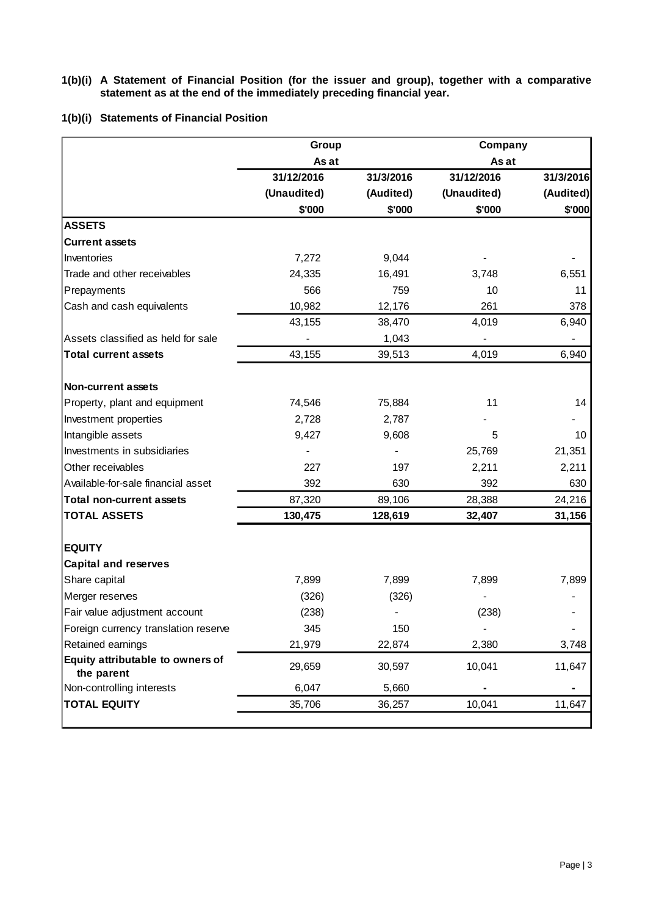### **1(b)(i) A Statement of Financial Position (for the issuer and group), together with a comparative statement as at the end of the immediately preceding financial year.**

## **1(b)(i) Statements of Financial Position**

|                                                | Group       |           | Company                      |           |
|------------------------------------------------|-------------|-----------|------------------------------|-----------|
|                                                | As at       |           | As at                        |           |
|                                                | 31/12/2016  | 31/3/2016 | 31/12/2016                   | 31/3/2016 |
|                                                | (Unaudited) | (Audited) | (Unaudited)                  | (Audited) |
|                                                | \$'000      | \$'000    | \$'000                       | \$'000    |
| <b>ASSETS</b>                                  |             |           |                              |           |
| <b>Current assets</b>                          |             |           |                              |           |
| Inventories                                    | 7,272       | 9,044     |                              |           |
| Trade and other receivables                    | 24,335      | 16,491    | 3,748                        | 6,551     |
| Prepayments                                    | 566         | 759       | 10                           | 11        |
| Cash and cash equivalents                      | 10,982      | 12,176    | 261                          | 378       |
|                                                | 43,155      | 38,470    | 4,019                        | 6,940     |
| Assets classified as held for sale             |             | 1,043     |                              |           |
| <b>Total current assets</b>                    | 43,155      | 39,513    | 4,019                        | 6,940     |
|                                                |             |           |                              |           |
| <b>Non-current assets</b>                      |             |           |                              |           |
| Property, plant and equipment                  | 74,546      | 75,884    | 11                           | 14        |
| Investment properties                          | 2,728       | 2,787     |                              |           |
| Intangible assets                              | 9,427       | 9,608     | 5                            | 10        |
| Investments in subsidiaries                    |             |           | 25,769                       | 21,351    |
| Other receivables                              | 227         | 197       | 2,211                        | 2,211     |
| Available-for-sale financial asset             | 392         | 630       | 392                          | 630       |
| <b>Total non-current assets</b>                | 87,320      | 89,106    | 28,388                       | 24,216    |
| <b>TOTAL ASSETS</b>                            | 130,475     | 128,619   | 32,407                       | 31,156    |
|                                                |             |           |                              |           |
| <b>EQUITY</b>                                  |             |           |                              |           |
| <b>Capital and reserves</b>                    |             |           |                              |           |
| Share capital                                  | 7,899       | 7,899     | 7,899                        | 7,899     |
| Merger reserves                                | (326)       | (326)     |                              |           |
| Fair value adjustment account                  | (238)       |           | (238)                        |           |
| Foreign currency translation reserve           | 345         | 150       | $\qquad \qquad \blacksquare$ |           |
| Retained earnings                              | 21,979      | 22,874    | 2,380                        | 3,748     |
| Equity attributable to owners of<br>the parent | 29,659      | 30,597    | 10,041                       | 11,647    |
| Non-controlling interests                      | 6,047       | 5,660     |                              |           |
| <b>TOTAL EQUITY</b>                            | 35,706      | 36,257    | 10,041                       | 11,647    |
|                                                |             |           |                              |           |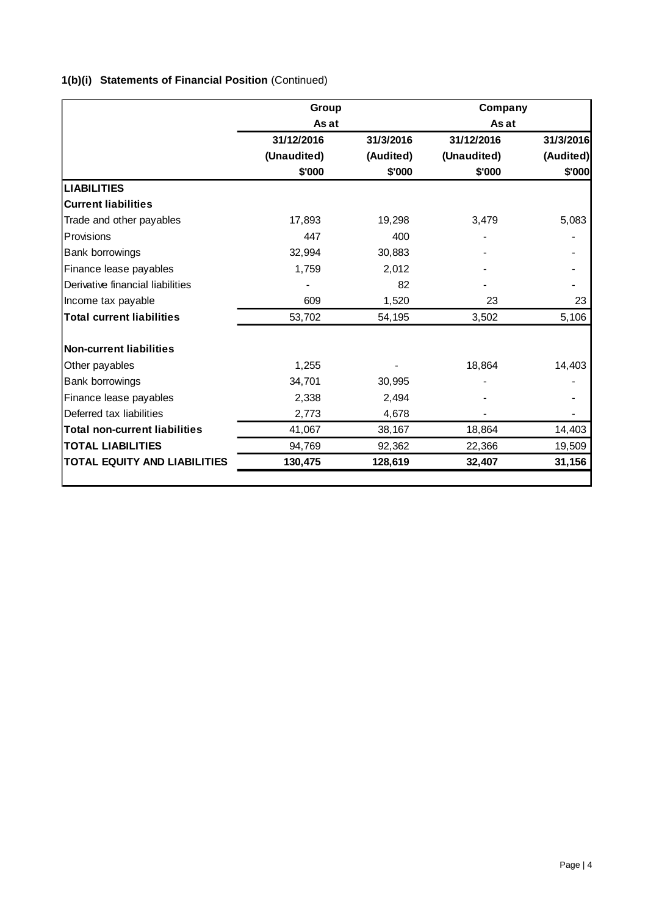# **1(b)(i) Statements of Financial Position** (Continued)

|                                      | Group       |           | Company     |           |
|--------------------------------------|-------------|-----------|-------------|-----------|
|                                      | As at       |           | As at       |           |
|                                      | 31/12/2016  | 31/3/2016 | 31/12/2016  | 31/3/2016 |
|                                      | (Unaudited) | (Audited) | (Unaudited) | (Audited) |
|                                      | \$'000      | \$'000    | \$'000      | \$'000    |
| <b>LIABILITIES</b>                   |             |           |             |           |
| <b>Current liabilities</b>           |             |           |             |           |
| Trade and other payables             | 17,893      | 19,298    | 3,479       | 5,083     |
| <b>Provisions</b>                    | 447         | 400       |             |           |
| Bank borrowings                      | 32,994      | 30,883    |             |           |
| Finance lease payables               | 1,759       | 2,012     |             |           |
| Derivative financial liabilities     |             | 82        |             |           |
| Income tax payable                   | 609         | 1,520     | 23          | 23        |
| <b>Total current liabilities</b>     | 53,702      | 54,195    | 3,502       | 5,106     |
| <b>Non-current liabilities</b>       |             |           |             |           |
| Other payables                       | 1,255       |           | 18,864      | 14,403    |
| Bank borrowings                      | 34,701      | 30,995    |             |           |
| Finance lease payables               | 2,338       | 2,494     |             |           |
| Deferred tax liabilities             | 2,773       | 4,678     |             |           |
| <b>Total non-current liabilities</b> | 41,067      | 38,167    | 18,864      | 14,403    |
| <b>TOTAL LIABILITIES</b>             | 94,769      | 92,362    | 22,366      | 19,509    |
| <b>TOTAL EQUITY AND LIABILITIES</b>  | 130,475     | 128,619   | 32,407      | 31,156    |
|                                      |             |           |             |           |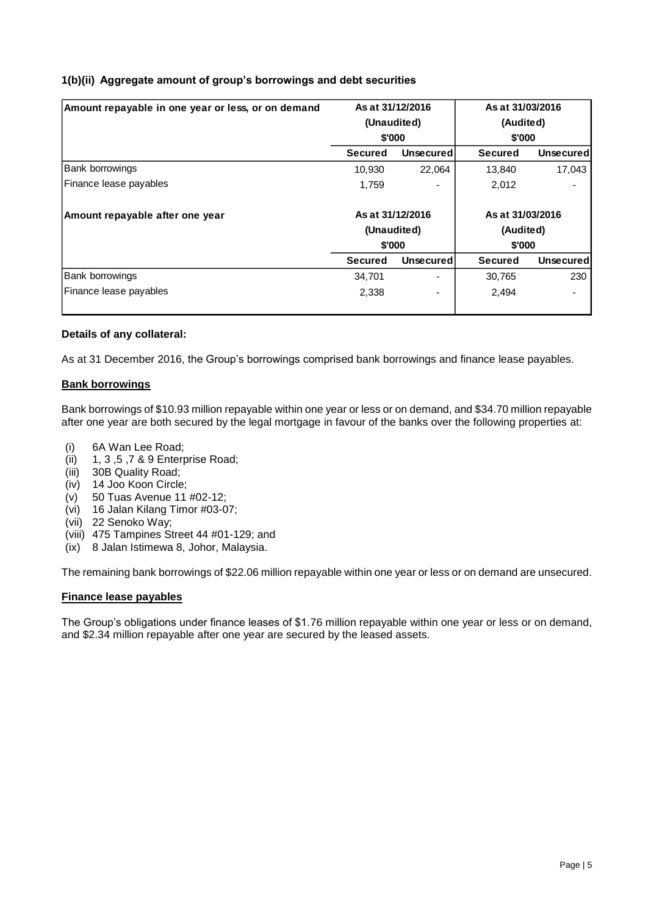# **1(b)(ii) Aggregate amount of group's borrowings and debt securities**

| Amount repayable in one year or less, or on demand |                | As at 31/12/2016         | As at 31/03/2016 |                   |
|----------------------------------------------------|----------------|--------------------------|------------------|-------------------|
|                                                    |                | (Unaudited)              | (Audited)        |                   |
|                                                    |                | \$'000                   | \$'000           |                   |
|                                                    | <b>Secured</b> | Unsecured                | <b>Secured</b>   | <b>Unsecuredl</b> |
| Bank borrowings                                    | 10.930         | 22.064                   | 13.840           | 17.043            |
| Finance lease payables                             | 1,759          |                          | 2,012            |                   |
| Amount repayable after one year                    |                | As at 31/12/2016         | As at 31/03/2016 |                   |
|                                                    |                | (Unaudited)              | (Audited)        |                   |
|                                                    |                | \$'000                   | \$'000           |                   |
|                                                    | <b>Secured</b> | Unsecured                | <b>Secured</b>   | Unsecured         |
| Bank borrowings                                    | 34.701         | $\overline{\phantom{0}}$ | 30,765           | 230               |
| Finance lease payables                             | 2,338          |                          | 2,494            |                   |
|                                                    |                |                          |                  |                   |

### **Details of any collateral:**

As at 31 December 2016, the Group's borrowings comprised bank borrowings and finance lease payables.

### **Bank borrowings**

Bank borrowings of \$10.93 million repayable within one year or less or on demand, and \$34.70 million repayable after one year are both secured by the legal mortgage in favour of the banks over the following properties at:

- (i) 6A Wan Lee Road;
- (ii) 1, 3 ,5 ,7 & 9 Enterprise Road;
- (iii) 30B Quality Road;
- (iv) 14 Joo Koon Circle;
- (v) 50 Tuas Avenue 11 #02-12;
- (vi) 16 Jalan Kilang Timor #03-07;
- (vii) 22 Senoko Way;
- (viii) 475 Tampines Street 44 #01-129; and
- (ix) 8 Jalan Istimewa 8, Johor, Malaysia.

The remaining bank borrowings of \$22.06 million repayable within one year or less or on demand are unsecured.

### **Finance lease payables**

The Group's obligations under finance leases of \$1.76 million repayable within one year or less or on demand, and \$2.34 million repayable after one year are secured by the leased assets.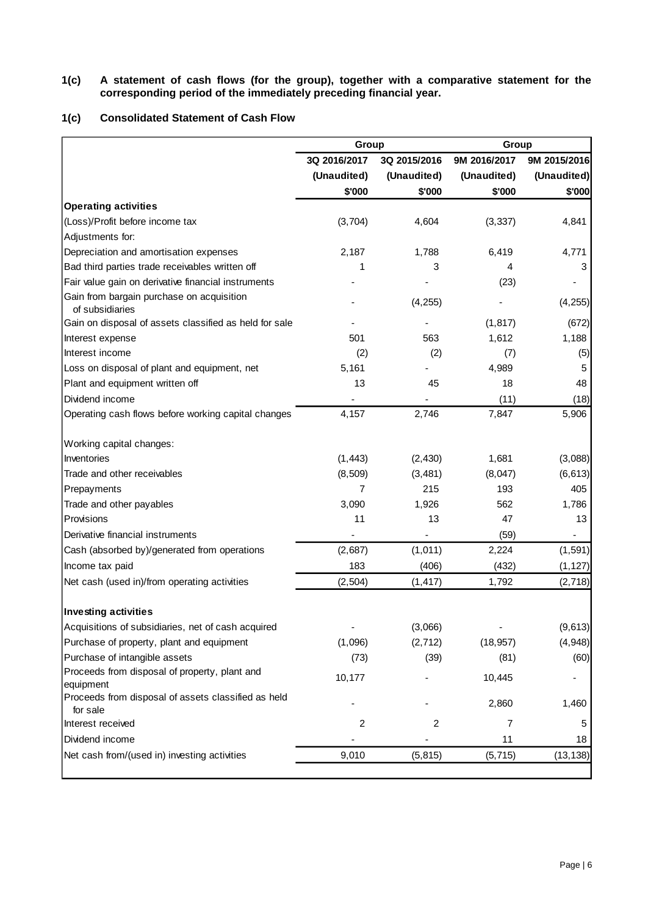### **1(c) A statement of cash flows (for the group), together with a comparative statement for the corresponding period of the immediately preceding financial year.**

## **1(c) Consolidated Statement of Cash Flow**

|                                                                 | Group          |                | Group        |              |  |
|-----------------------------------------------------------------|----------------|----------------|--------------|--------------|--|
|                                                                 | 3Q 2016/2017   | 3Q 2015/2016   | 9M 2016/2017 | 9M 2015/2016 |  |
|                                                                 | (Unaudited)    | (Unaudited)    | (Unaudited)  | (Unaudited)  |  |
|                                                                 | \$'000         | \$'000         | \$'000       | \$'000       |  |
| <b>Operating activities</b>                                     |                |                |              |              |  |
| (Loss)/Profit before income tax                                 | (3,704)        | 4,604          | (3, 337)     | 4,841        |  |
| Adjustments for:                                                |                |                |              |              |  |
| Depreciation and amortisation expenses                          | 2,187          | 1,788          | 6,419        | 4,771        |  |
| Bad third parties trade receivables written off                 | 1              | 3              | 4            | 3            |  |
| Fair value gain on derivative financial instruments             |                |                | (23)         |              |  |
| Gain from bargain purchase on acquisition<br>of subsidiaries    |                | (4, 255)       |              | (4,255)      |  |
| Gain on disposal of assets classified as held for sale          |                |                | (1, 817)     | (672)        |  |
| Interest expense                                                | 501            | 563            | 1,612        | 1,188        |  |
| Interest income                                                 | (2)            | (2)            | (7)          | (5)          |  |
| Loss on disposal of plant and equipment, net                    | 5,161          |                | 4,989        | 5            |  |
| Plant and equipment written off                                 | 13             | 45             | 18           | 48           |  |
| Dividend income                                                 |                |                | (11)         | (18)         |  |
| Operating cash flows before working capital changes             | 4,157          | 2,746          | 7,847        | 5,906        |  |
| Working capital changes:                                        |                |                |              |              |  |
| Inventories                                                     | (1, 443)       | (2, 430)       | 1,681        | (3,088)      |  |
| Trade and other receivables                                     | (8,509)        | (3, 481)       | (8,047)      | (6, 613)     |  |
| Prepayments                                                     | 7              | 215            | 193          | 405          |  |
| Trade and other payables                                        | 3,090          | 1,926          | 562          | 1,786        |  |
| Provisions                                                      | 11             | 13             | 47           | 13           |  |
| Derivative financial instruments                                |                |                | (59)         |              |  |
| Cash (absorbed by)/generated from operations                    | (2,687)        | (1,011)        | 2,224        | (1, 591)     |  |
| Income tax paid                                                 | 183            | (406)          | (432)        | (1, 127)     |  |
| Net cash (used in)/from operating activities                    | (2, 504)       | (1, 417)       | 1,792        | (2,718)      |  |
| <b>Investing activities</b>                                     |                |                |              |              |  |
| Acquisitions of subsidiaries, net of cash acquired              |                | (3,066)        |              | (9,613)      |  |
| Purchase of property, plant and equipment                       | (1,096)        | (2, 712)       | (18, 957)    | (4,948)      |  |
| Purchase of intangible assets                                   | (73)           | (39)           | (81)         | (60)         |  |
| Proceeds from disposal of property, plant and<br>equipment      | 10,177         |                | 10,445       |              |  |
| Proceeds from disposal of assets classified as held<br>for sale |                |                | 2,860        | 1,460        |  |
| Interest received                                               | $\overline{c}$ | $\overline{c}$ | 7            | 5            |  |
| Dividend income                                                 |                |                | 11           | 18           |  |
| Net cash from/(used in) investing activities                    | 9,010          | (5, 815)       | (5, 715)     | (13, 138)    |  |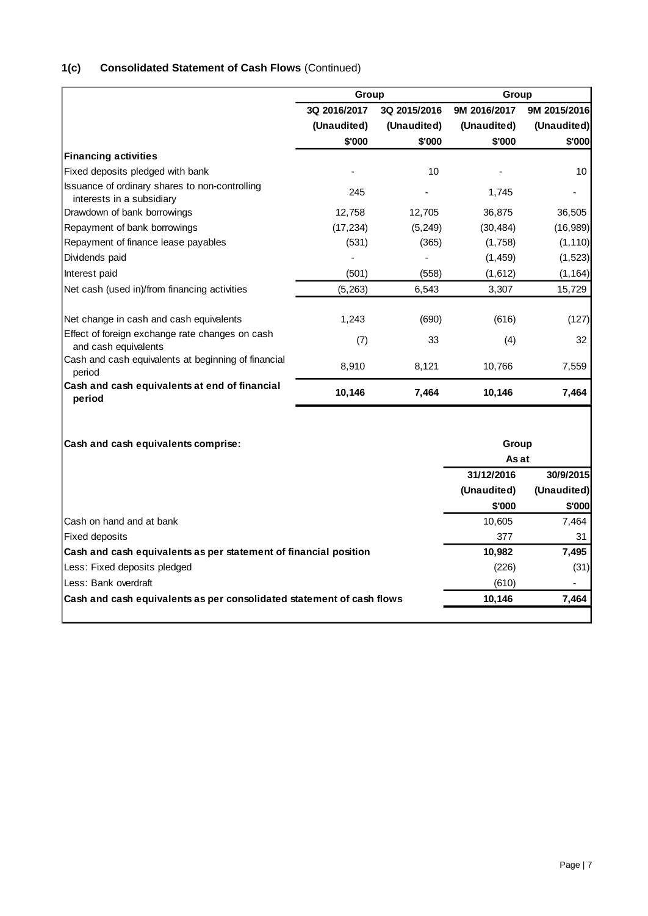# **1(c) Consolidated Statement of Cash Flows** (Continued)

|                                                                             | Group        |              | Group          |              |
|-----------------------------------------------------------------------------|--------------|--------------|----------------|--------------|
|                                                                             | 3Q 2016/2017 | 3Q 2015/2016 | 9M 2016/2017   | 9M 2015/2016 |
|                                                                             | (Unaudited)  | (Unaudited)  | (Unaudited)    | (Unaudited)  |
|                                                                             | \$'000       | \$'000       | \$'000         | \$'000       |
| <b>Financing activities</b>                                                 |              |              |                |              |
| Fixed deposits pledged with bank                                            |              | 10           |                | 10           |
| Issuance of ordinary shares to non-controlling<br>interests in a subsidiary | 245          |              | 1,745          |              |
| Drawdown of bank borrowings                                                 | 12,758       | 12,705       | 36,875         | 36,505       |
| Repayment of bank borrowings                                                | (17, 234)    | (5, 249)     | (30, 484)      | (16,989)     |
| Repayment of finance lease payables                                         | (531)        | (365)        | (1,758)        | (1, 110)     |
| Dividends paid                                                              |              |              | (1, 459)       | (1, 523)     |
| Interest paid                                                               | (501)        | (558)        | (1,612)        | (1, 164)     |
| Net cash (used in)/from financing activities                                | (5, 263)     | 6,543        | 3,307          | 15,729       |
| Net change in cash and cash equivalents                                     | 1,243        | (690)        | (616)          | (127)        |
| Effect of foreign exchange rate changes on cash<br>and cash equivalents     | (7)          | 33           | (4)            | 32           |
| Cash and cash equivalents at beginning of financial<br>period               | 8,910        | 8,121        | 10,766         | 7,559        |
| Cash and cash equivalents at end of financial<br>period                     | 10,146       | 7,464        | 10,146         | 7,464        |
| Cash and cash equivalents comprise:                                         |              |              | Group<br>As at |              |
|                                                                             |              |              | 31/12/2016     | 30/9/2015    |
|                                                                             |              |              | (Unaudited)    | (Unaudited)  |
|                                                                             |              |              | \$'000         | \$'000       |
| Cash on hand and at bank                                                    |              |              | 10,605         | 7,464        |
| <b>Fixed deposits</b>                                                       |              |              | 377            | 31           |
| Cash and cash equivalents as per statement of financial position            |              |              | 10,982         | 7,495        |
| Less: Fixed deposits pledged                                                |              |              | (226)          | (31)         |

 $\vert$  Less: Bank overdraft (610) Cash and cash equivalents as per consolidated statement of cash flows **10,146** 10,146 7,464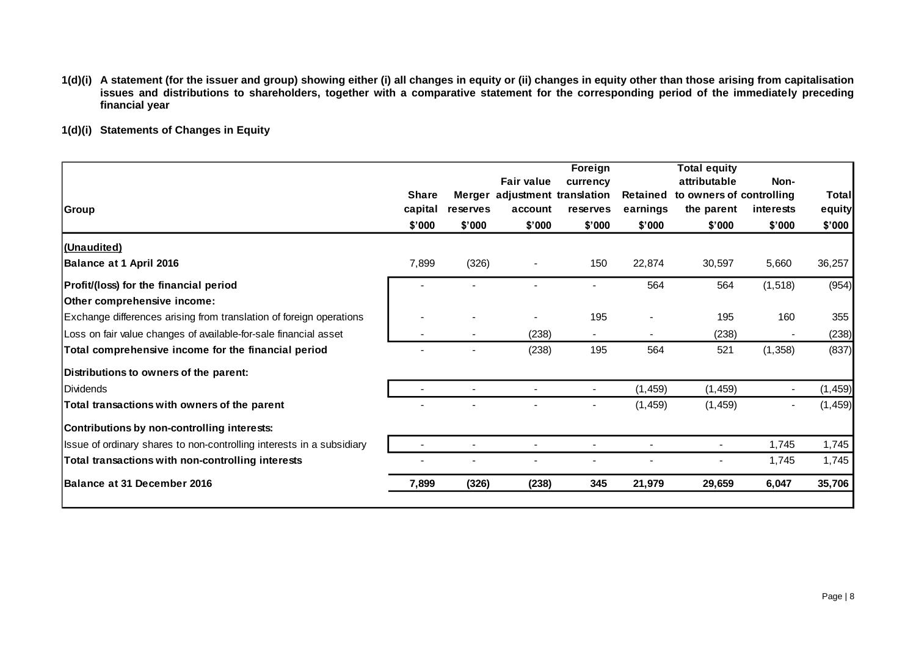- **1(d)(i) A statement (for the issuer and group) showing either (i) all changes in equity or (ii) changes in equity other than those arising from capitalisation issues and distributions to shareholders, together with a comparative statement for the corresponding period of the immediately preceding financial year**
- **1(d)(i) Statements of Changes in Equity**

| Group                                                                 | <b>Share</b><br>capital | reserves | <b>Fair value</b><br>Merger adjustment translation<br>account | Foreign<br>currency<br>reserves | Retained<br>earnings | <b>Total equity</b><br>attributable<br>to owners of controlling<br>the parent | Non-<br>interests | Total<br>equity |
|-----------------------------------------------------------------------|-------------------------|----------|---------------------------------------------------------------|---------------------------------|----------------------|-------------------------------------------------------------------------------|-------------------|-----------------|
|                                                                       | \$'000                  | \$'000   | \$'000                                                        | \$'000                          | \$'000               | \$'000                                                                        | \$'000            | \$'000          |
| (Unaudited)                                                           |                         |          |                                                               |                                 |                      |                                                                               |                   |                 |
| <b>Balance at 1 April 2016</b>                                        | 7,899                   | (326)    | $\overline{\phantom{a}}$                                      | 150                             | 22,874               | 30,597                                                                        | 5,660             | 36,257          |
| Profit/(loss) for the financial period                                |                         |          |                                                               |                                 | 564                  | 564                                                                           | (1, 518)          | (954)           |
| Other comprehensive income:                                           |                         |          |                                                               |                                 |                      |                                                                               |                   |                 |
| Exchange differences arising from translation of foreign operations   |                         |          |                                                               | 195                             |                      | 195                                                                           | 160               | 355             |
| Loss on fair value changes of available-for-sale financial asset      |                         |          | (238)                                                         | $\blacksquare$                  |                      | (238)                                                                         |                   | (238)           |
| Total comprehensive income for the financial period                   |                         |          | (238)                                                         | 195                             | 564                  | 521                                                                           | (1,358)           | (837)           |
| Distributions to owners of the parent:                                |                         |          |                                                               |                                 |                      |                                                                               |                   |                 |
| <b>IDividends</b>                                                     |                         |          |                                                               |                                 | (1, 459)             | (1, 459)                                                                      |                   | (1, 459)        |
| Total transactions with owners of the parent                          |                         |          |                                                               |                                 | (1, 459)             | (1, 459)                                                                      |                   | (1, 459)        |
| Contributions by non-controlling interests:                           |                         |          |                                                               |                                 |                      |                                                                               |                   |                 |
| Issue of ordinary shares to non-controlling interests in a subsidiary |                         |          |                                                               | $\overline{\phantom{a}}$        |                      | $\overline{\phantom{a}}$                                                      | 1,745             | 1,745           |
| Total transactions with non-controlling interests                     |                         |          |                                                               |                                 |                      |                                                                               | 1,745             | 1,745           |
| Balance at 31 December 2016                                           | 7,899                   | (326)    | (238)                                                         | 345                             | 21,979               | 29,659                                                                        | 6,047             | 35,706          |
|                                                                       |                         |          |                                                               |                                 |                      |                                                                               |                   |                 |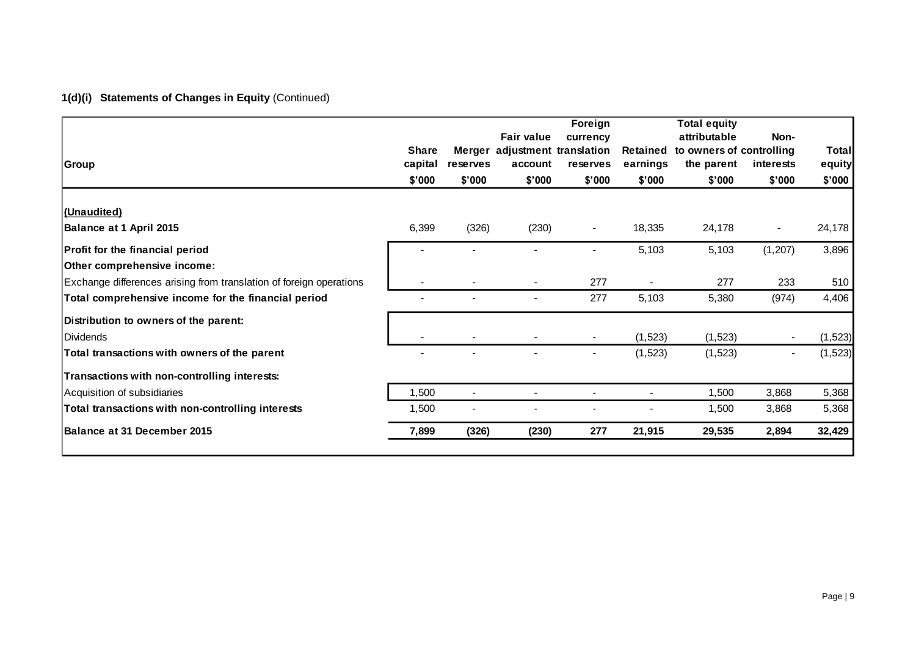# **1(d)(i) Statements of Changes in Equity** (Continued)

| Group                                                                 | <b>Share</b><br>capital | reserves       | <b>Fair value</b><br>Merger adjustment translation<br>account | Foreign<br>currency<br>reserves | Retained<br>earnings | <b>Total equity</b><br>attributable<br>to owners of controlling<br>the parent | Non-<br>interests        | Total<br>equity |
|-----------------------------------------------------------------------|-------------------------|----------------|---------------------------------------------------------------|---------------------------------|----------------------|-------------------------------------------------------------------------------|--------------------------|-----------------|
|                                                                       | \$'000                  | \$'000         | \$'000                                                        | \$'000                          | \$'000               | \$'000                                                                        | \$'000                   | \$'000          |
| (Unaudited)                                                           |                         |                |                                                               |                                 |                      |                                                                               |                          |                 |
| <b>Balance at 1 April 2015</b>                                        | 6,399                   | (326)          | (230)                                                         | $\blacksquare$                  | 18,335               | 24,178                                                                        | $\overline{\phantom{a}}$ | 24,178          |
| <b>Profit for the financial period</b><br>Other comprehensive income: |                         |                |                                                               |                                 | 5,103                | 5,103                                                                         | (1,207)                  | 3,896           |
| Exchange differences arising from translation of foreign operations   |                         |                |                                                               | 277                             | $\sim$               | 277                                                                           | 233                      | 510             |
| Total comprehensive income for the financial period                   |                         |                |                                                               | 277                             | 5,103                | 5,380                                                                         | (974)                    | 4,406           |
| Distribution to owners of the parent:                                 |                         |                |                                                               |                                 |                      |                                                                               |                          |                 |
| l Dividends                                                           |                         |                |                                                               | $\blacksquare$                  | (1,523)              | (1, 523)                                                                      |                          | (1, 523)        |
| Total transactions with owners of the parent                          |                         |                |                                                               |                                 | (1,523)              | (1,523)                                                                       |                          | (1, 523)        |
| Transactions with non-controlling interests:                          |                         |                |                                                               |                                 |                      |                                                                               |                          |                 |
| Acquisition of subsidiaries                                           | 1,500                   | $\blacksquare$ |                                                               |                                 | $\blacksquare$       | 1,500                                                                         | 3,868                    | 5,368           |
| Total transactions with non-controlling interests                     | 1,500                   |                |                                                               |                                 |                      | 1,500                                                                         | 3,868                    | 5,368           |
| Balance at 31 December 2015                                           | 7,899                   | (326)          | (230)                                                         | 277                             | 21,915               | 29,535                                                                        | 2,894                    | 32,429          |
|                                                                       |                         |                |                                                               |                                 |                      |                                                                               |                          |                 |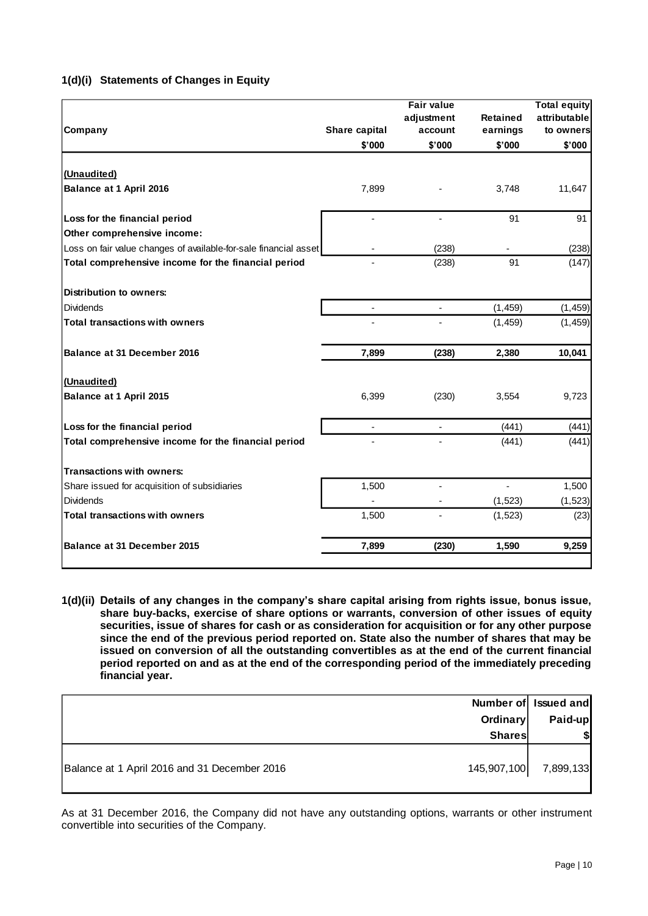|  | 1(d)(i) Statements of Changes in Equity |  |  |  |  |
|--|-----------------------------------------|--|--|--|--|
|--|-----------------------------------------|--|--|--|--|

| Company                                                          | Share capital | <b>Fair value</b><br>adjustment<br>account | <b>Retained</b><br>earnings | <b>Total equity</b><br>attributable<br>to owners |
|------------------------------------------------------------------|---------------|--------------------------------------------|-----------------------------|--------------------------------------------------|
|                                                                  | \$'000        | \$'000                                     | \$'000                      | \$'000                                           |
|                                                                  |               |                                            |                             |                                                  |
| (Unaudited)                                                      |               |                                            |                             |                                                  |
| Balance at 1 April 2016                                          | 7,899         |                                            | 3,748                       | 11,647                                           |
| Loss for the financial period                                    |               | ÷.                                         | 91                          | 91                                               |
| Other comprehensive income:                                      |               |                                            |                             |                                                  |
| Loss on fair value changes of available-for-sale financial asset |               | (238)                                      |                             | (238)                                            |
| Total comprehensive income for the financial period              |               | (238)                                      | 91                          | (147)                                            |
| <b>Distribution to owners:</b>                                   |               |                                            |                             |                                                  |
| <b>Dividends</b>                                                 |               |                                            | (1, 459)                    | (1, 459)                                         |
| <b>Total transactions with owners</b>                            |               |                                            | (1, 459)                    | (1, 459)                                         |
| Balance at 31 December 2016                                      | 7,899         | (238)                                      | 2,380                       | 10,041                                           |
| (Unaudited)                                                      |               |                                            |                             |                                                  |
| <b>Balance at 1 April 2015</b>                                   | 6,399         | (230)                                      | 3,554                       | 9,723                                            |
| Loss for the financial period                                    |               | L,                                         | (441)                       | (441)                                            |
| Total comprehensive income for the financial period              |               |                                            | (441)                       | (441)                                            |
| <b>Transactions with owners:</b>                                 |               |                                            |                             |                                                  |
| Share issued for acquisition of subsidiaries                     | 1,500         | ÷.                                         |                             | 1,500                                            |
| <b>Dividends</b>                                                 |               |                                            | (1, 523)                    | (1, 523)                                         |
| <b>Total transactions with owners</b>                            | 1,500         |                                            | (1, 523)                    | (23)                                             |
| Balance at 31 December 2015                                      | 7,899         | (230)                                      | 1,590                       | 9,259                                            |

**1(d)(ii) Details of any changes in the company's share capital arising from rights issue, bonus issue, share buy-backs, exercise of share options or warrants, conversion of other issues of equity securities, issue of shares for cash or as consideration for acquisition or for any other purpose since the end of the previous period reported on. State also the number of shares that may be issued on conversion of all the outstanding convertibles as at the end of the current financial period reported on and as at the end of the corresponding period of the immediately preceding financial year.**

|                                                             | Number of Issued and |
|-------------------------------------------------------------|----------------------|
| Ordinary                                                    | Paid-up              |
| <b>Shares</b>                                               |                      |
| 145,907,100<br>Balance at 1 April 2016 and 31 December 2016 | 7,899,133            |

As at 31 December 2016, the Company did not have any outstanding options, warrants or other instrument convertible into securities of the Company.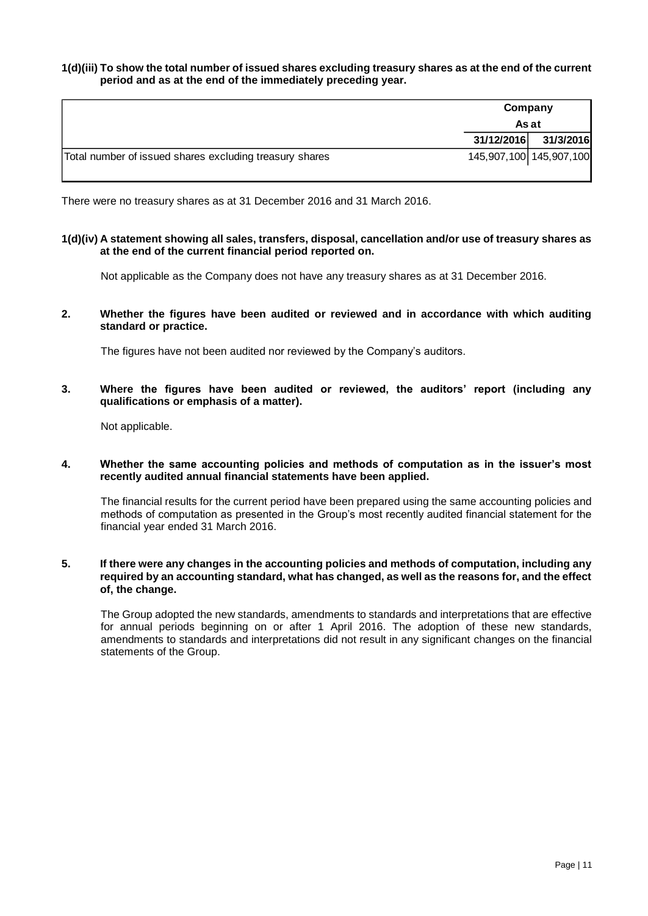### **1(d)(iii) To show the total number of issued shares excluding treasury shares as at the end of the current period and as at the end of the immediately preceding year.**

|                                                         |            | Company<br>As at        |  |
|---------------------------------------------------------|------------|-------------------------|--|
|                                                         | 31/12/2016 | 31/3/2016               |  |
| Total number of issued shares excluding treasury shares |            | 145,907,100 145,907,100 |  |

There were no treasury shares as at 31 December 2016 and 31 March 2016.

### **1(d)(iv) A statement showing all sales, transfers, disposal, cancellation and/or use of treasury shares as at the end of the current financial period reported on.**

Not applicable as the Company does not have any treasury shares as at 31 December 2016.

**2. Whether the figures have been audited or reviewed and in accordance with which auditing standard or practice.**

The figures have not been audited nor reviewed by the Company's auditors.

**3. Where the figures have been audited or reviewed, the auditors' report (including any qualifications or emphasis of a matter).**

Not applicable.

**4. Whether the same accounting policies and methods of computation as in the issuer's most recently audited annual financial statements have been applied.**

The financial results for the current period have been prepared using the same accounting policies and methods of computation as presented in the Group's most recently audited financial statement for the financial year ended 31 March 2016.

### **5. If there were any changes in the accounting policies and methods of computation, including any required by an accounting standard, what has changed, as well as the reasons for, and the effect of, the change.**

The Group adopted the new standards, amendments to standards and interpretations that are effective for annual periods beginning on or after 1 April 2016. The adoption of these new standards, amendments to standards and interpretations did not result in any significant changes on the financial statements of the Group.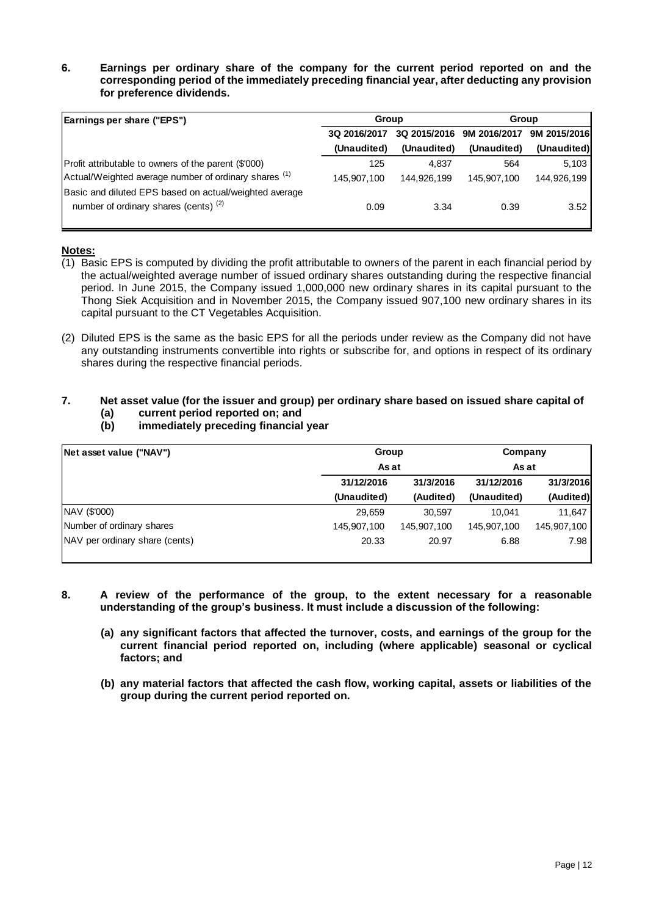### **6. Earnings per ordinary share of the company for the current period reported on and the corresponding period of the immediately preceding financial year, after deducting any provision for preference dividends.**

| Earnings per share ("EPS")                                                                        | Group        |              | Group        |              |
|---------------------------------------------------------------------------------------------------|--------------|--------------|--------------|--------------|
|                                                                                                   | 3Q 2016/2017 | 3Q 2015/2016 | 9M 2016/2017 | 9M 2015/2016 |
|                                                                                                   | (Unaudited)  | (Unaudited)  | (Unaudited)  | (Unaudited)  |
| Profit attributable to owners of the parent (\$'000)                                              | 125          | 4.837        | 564          | 5,103        |
| Actual/Weighted average number of ordinary shares (1)                                             | 145,907,100  | 144,926,199  | 145,907,100  | 144,926,199  |
| Basic and diluted EPS based on actual/weighted average<br>number of ordinary shares (cents) $(2)$ | 0.09         | 3.34         | 0.39         | 3.52         |

### **Notes:**

- (1) Basic EPS is computed by dividing the profit attributable to owners of the parent in each financial period by the actual/weighted average number of issued ordinary shares outstanding during the respective financial period. In June 2015, the Company issued 1,000,000 new ordinary shares in its capital pursuant to the Thong Siek Acquisition and in November 2015, the Company issued 907,100 new ordinary shares in its capital pursuant to the CT Vegetables Acquisition.
- (2) Diluted EPS is the same as the basic EPS for all the periods under review as the Company did not have any outstanding instruments convertible into rights or subscribe for, and options in respect of its ordinary shares during the respective financial periods.

# **7. Net asset value (for the issuer and group) per ordinary share based on issued share capital of**

- **(a) current period reported on; and**
- **(b) immediately preceding financial year**

| Net asset value ("NAV")               | Group       |             | Company     |             |  |
|---------------------------------------|-------------|-------------|-------------|-------------|--|
|                                       |             | As at       |             | As at       |  |
|                                       | 31/12/2016  | 31/3/2016   | 31/12/2016  | 31/3/2016   |  |
|                                       | (Unaudited) | (Audited)   | (Unaudited) | (Audited)   |  |
| NAV (\$'000)                          | 29,659      | 30.597      | 10.041      | 11,647      |  |
| Number of ordinary shares             | 145,907,100 | 145,907,100 | 145,907,100 | 145,907,100 |  |
| <b>NAV</b> per ordinary share (cents) | 20.33       | 20.97       | 6.88        | 7.98        |  |

#### **8. A review of the performance of the group, to the extent necessary for a reasonable understanding of the group's business. It must include a discussion of the following:**

- **(a) any significant factors that affected the turnover, costs, and earnings of the group for the current financial period reported on, including (where applicable) seasonal or cyclical factors; and**
- **(b) any material factors that affected the cash flow, working capital, assets or liabilities of the group during the current period reported on.**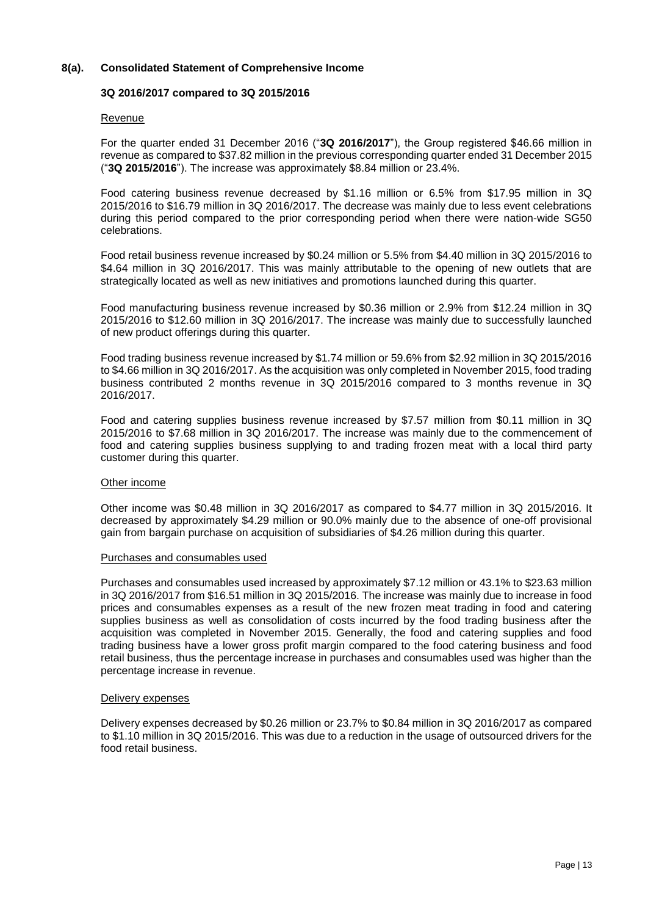### **8(a). Consolidated Statement of Comprehensive Income**

### **3Q 2016/2017 compared to 3Q 2015/2016**

### Revenue

For the quarter ended 31 December 2016 ("**3Q 2016/2017**"), the Group registered \$46.66 million in revenue as compared to \$37.82 million in the previous corresponding quarter ended 31 December 2015 ("**3Q 2015/2016**"). The increase was approximately \$8.84 million or 23.4%.

Food catering business revenue decreased by \$1.16 million or 6.5% from \$17.95 million in 3Q 2015/2016 to \$16.79 million in 3Q 2016/2017. The decrease was mainly due to less event celebrations during this period compared to the prior corresponding period when there were nation-wide SG50 celebrations.

Food retail business revenue increased by \$0.24 million or 5.5% from \$4.40 million in 3Q 2015/2016 to \$4.64 million in 3Q 2016/2017. This was mainly attributable to the opening of new outlets that are strategically located as well as new initiatives and promotions launched during this quarter.

Food manufacturing business revenue increased by \$0.36 million or 2.9% from \$12.24 million in 3Q 2015/2016 to \$12.60 million in 3Q 2016/2017. The increase was mainly due to successfully launched of new product offerings during this quarter.

Food trading business revenue increased by \$1.74 million or 59.6% from \$2.92 million in 3Q 2015/2016 to \$4.66 million in 3Q 2016/2017. As the acquisition was only completed in November 2015, food trading business contributed 2 months revenue in 3Q 2015/2016 compared to 3 months revenue in 3Q 2016/2017.

Food and catering supplies business revenue increased by \$7.57 million from \$0.11 million in 3Q 2015/2016 to \$7.68 million in 3Q 2016/2017. The increase was mainly due to the commencement of food and catering supplies business supplying to and trading frozen meat with a local third party customer during this quarter.

### Other income

Other income was \$0.48 million in 3Q 2016/2017 as compared to \$4.77 million in 3Q 2015/2016. It decreased by approximately \$4.29 million or 90.0% mainly due to the absence of one-off provisional gain from bargain purchase on acquisition of subsidiaries of \$4.26 million during this quarter.

### Purchases and consumables used

Purchases and consumables used increased by approximately \$7.12 million or 43.1% to \$23.63 million in 3Q 2016/2017 from \$16.51 million in 3Q 2015/2016. The increase was mainly due to increase in food prices and consumables expenses as a result of the new frozen meat trading in food and catering supplies business as well as consolidation of costs incurred by the food trading business after the acquisition was completed in November 2015. Generally, the food and catering supplies and food trading business have a lower gross profit margin compared to the food catering business and food retail business, thus the percentage increase in purchases and consumables used was higher than the percentage increase in revenue.

#### Delivery expenses

Delivery expenses decreased by \$0.26 million or 23.7% to \$0.84 million in 3Q 2016/2017 as compared to \$1.10 million in 3Q 2015/2016. This was due to a reduction in the usage of outsourced drivers for the food retail business.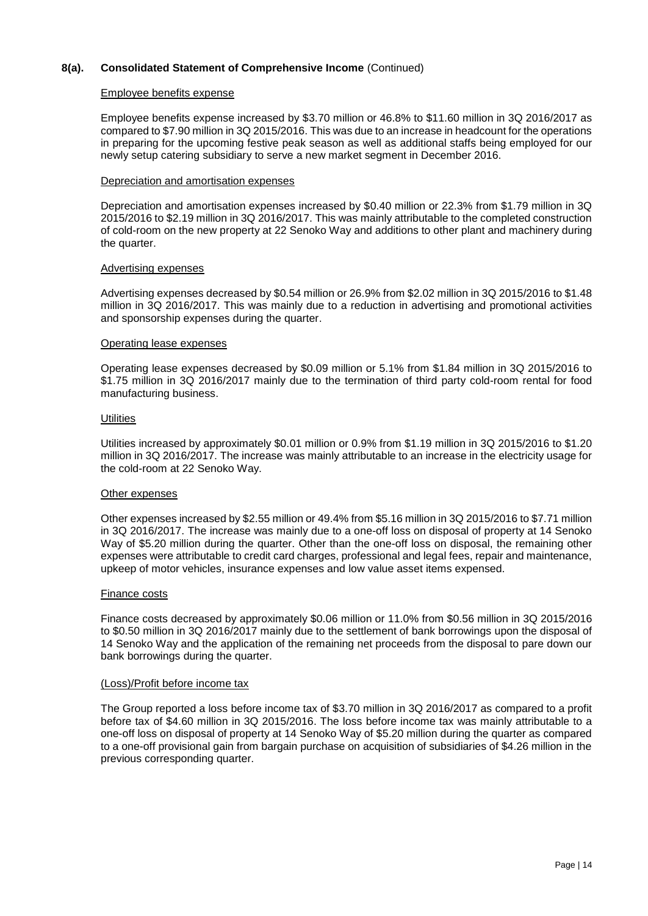### Employee benefits expense

Employee benefits expense increased by \$3.70 million or 46.8% to \$11.60 million in 3Q 2016/2017 as compared to \$7.90 million in 3Q 2015/2016. This was due to an increase in headcount for the operations in preparing for the upcoming festive peak season as well as additional staffs being employed for our newly setup catering subsidiary to serve a new market segment in December 2016.

### Depreciation and amortisation expenses

Depreciation and amortisation expenses increased by \$0.40 million or 22.3% from \$1.79 million in 3Q 2015/2016 to \$2.19 million in 3Q 2016/2017. This was mainly attributable to the completed construction of cold-room on the new property at 22 Senoko Way and additions to other plant and machinery during the quarter.

#### Advertising expenses

Advertising expenses decreased by \$0.54 million or 26.9% from \$2.02 million in 3Q 2015/2016 to \$1.48 million in 3Q 2016/2017. This was mainly due to a reduction in advertising and promotional activities and sponsorship expenses during the quarter.

#### Operating lease expenses

Operating lease expenses decreased by \$0.09 million or 5.1% from \$1.84 million in 3Q 2015/2016 to \$1.75 million in 3Q 2016/2017 mainly due to the termination of third party cold-room rental for food manufacturing business.

#### **Utilities**

Utilities increased by approximately \$0.01 million or 0.9% from \$1.19 million in 3Q 2015/2016 to \$1.20 million in 3Q 2016/2017. The increase was mainly attributable to an increase in the electricity usage for the cold-room at 22 Senoko Way.

### Other expenses

Other expenses increased by \$2.55 million or 49.4% from \$5.16 million in 3Q 2015/2016 to \$7.71 million in 3Q 2016/2017. The increase was mainly due to a one-off loss on disposal of property at 14 Senoko Way of \$5.20 million during the quarter. Other than the one-off loss on disposal, the remaining other expenses were attributable to credit card charges, professional and legal fees, repair and maintenance, upkeep of motor vehicles, insurance expenses and low value asset items expensed.

### Finance costs

Finance costs decreased by approximately \$0.06 million or 11.0% from \$0.56 million in 3Q 2015/2016 to \$0.50 million in 3Q 2016/2017 mainly due to the settlement of bank borrowings upon the disposal of 14 Senoko Way and the application of the remaining net proceeds from the disposal to pare down our bank borrowings during the quarter.

#### (Loss)/Profit before income tax

The Group reported a loss before income tax of \$3.70 million in 3Q 2016/2017 as compared to a profit before tax of \$4.60 million in 3Q 2015/2016. The loss before income tax was mainly attributable to a one-off loss on disposal of property at 14 Senoko Way of \$5.20 million during the quarter as compared to a one-off provisional gain from bargain purchase on acquisition of subsidiaries of \$4.26 million in the previous corresponding quarter.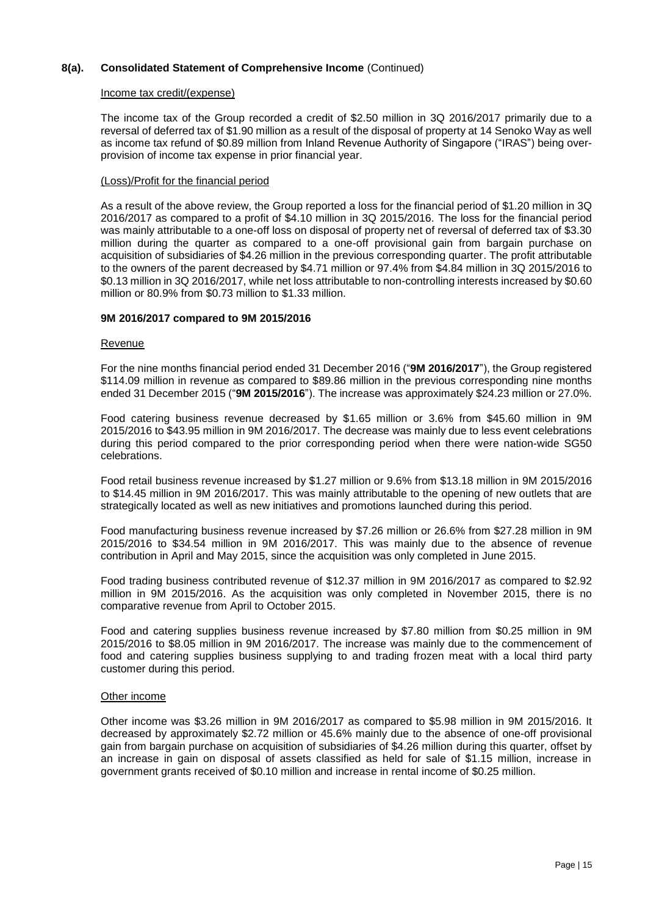### Income tax credit/(expense)

The income tax of the Group recorded a credit of \$2.50 million in 3Q 2016/2017 primarily due to a reversal of deferred tax of \$1.90 million as a result of the disposal of property at 14 Senoko Way as well as income tax refund of \$0.89 million from Inland Revenue Authority of Singapore ("IRAS") being overprovision of income tax expense in prior financial year.

### (Loss)/Profit for the financial period

As a result of the above review, the Group reported a loss for the financial period of \$1.20 million in 3Q 2016/2017 as compared to a profit of \$4.10 million in 3Q 2015/2016. The loss for the financial period was mainly attributable to a one-off loss on disposal of property net of reversal of deferred tax of \$3.30 million during the quarter as compared to a one-off provisional gain from bargain purchase on acquisition of subsidiaries of \$4.26 million in the previous corresponding quarter. The profit attributable to the owners of the parent decreased by \$4.71 million or 97.4% from \$4.84 million in 3Q 2015/2016 to \$0.13 million in 3Q 2016/2017, while net loss attributable to non-controlling interests increased by \$0.60 million or 80.9% from \$0.73 million to \$1.33 million.

### **9M 2016/2017 compared to 9M 2015/2016**

#### Revenue

For the nine months financial period ended 31 December 2016 ("**9M 2016/2017**"), the Group registered \$114.09 million in revenue as compared to \$89.86 million in the previous corresponding nine months ended 31 December 2015 ("**9M 2015/2016**"). The increase was approximately \$24.23 million or 27.0%.

Food catering business revenue decreased by \$1.65 million or 3.6% from \$45.60 million in 9M 2015/2016 to \$43.95 million in 9M 2016/2017. The decrease was mainly due to less event celebrations during this period compared to the prior corresponding period when there were nation-wide SG50 celebrations.

Food retail business revenue increased by \$1.27 million or 9.6% from \$13.18 million in 9M 2015/2016 to \$14.45 million in 9M 2016/2017. This was mainly attributable to the opening of new outlets that are strategically located as well as new initiatives and promotions launched during this period.

Food manufacturing business revenue increased by \$7.26 million or 26.6% from \$27.28 million in 9M 2015/2016 to \$34.54 million in 9M 2016/2017. This was mainly due to the absence of revenue contribution in April and May 2015, since the acquisition was only completed in June 2015.

Food trading business contributed revenue of \$12.37 million in 9M 2016/2017 as compared to \$2.92 million in 9M 2015/2016. As the acquisition was only completed in November 2015, there is no comparative revenue from April to October 2015.

Food and catering supplies business revenue increased by \$7.80 million from \$0.25 million in 9M 2015/2016 to \$8.05 million in 9M 2016/2017. The increase was mainly due to the commencement of food and catering supplies business supplying to and trading frozen meat with a local third party customer during this period.

### Other income

Other income was \$3.26 million in 9M 2016/2017 as compared to \$5.98 million in 9M 2015/2016. It decreased by approximately \$2.72 million or 45.6% mainly due to the absence of one-off provisional gain from bargain purchase on acquisition of subsidiaries of \$4.26 million during this quarter, offset by an increase in gain on disposal of assets classified as held for sale of \$1.15 million, increase in government grants received of \$0.10 million and increase in rental income of \$0.25 million.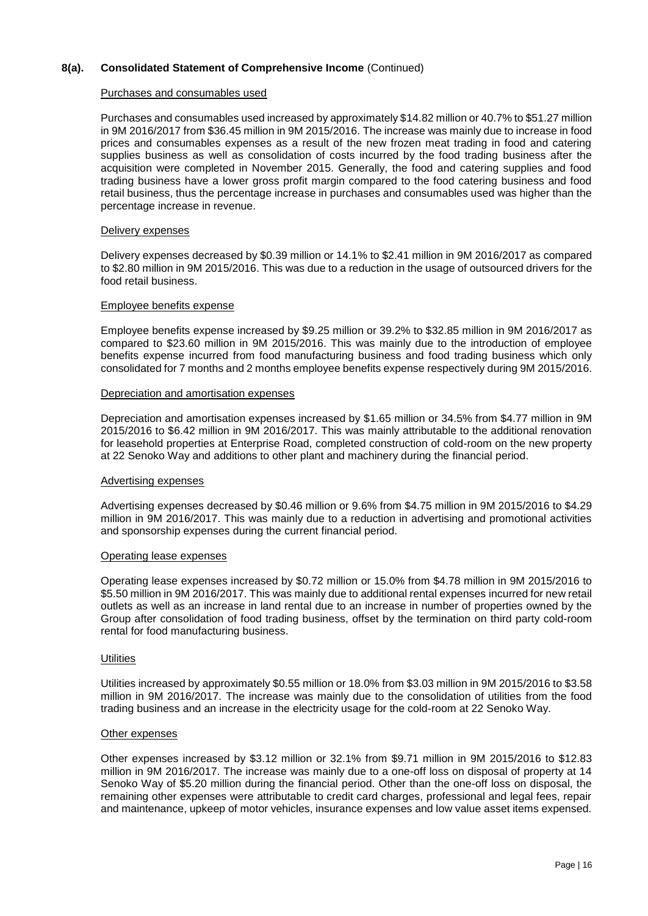### Purchases and consumables used

Purchases and consumables used increased by approximately \$14.82 million or 40.7% to \$51.27 million in 9M 2016/2017 from \$36.45 million in 9M 2015/2016. The increase was mainly due to increase in food prices and consumables expenses as a result of the new frozen meat trading in food and catering supplies business as well as consolidation of costs incurred by the food trading business after the acquisition were completed in November 2015. Generally, the food and catering supplies and food trading business have a lower gross profit margin compared to the food catering business and food retail business, thus the percentage increase in purchases and consumables used was higher than the percentage increase in revenue.

#### Delivery expenses

Delivery expenses decreased by \$0.39 million or 14.1% to \$2.41 million in 9M 2016/2017 as compared to \$2.80 million in 9M 2015/2016. This was due to a reduction in the usage of outsourced drivers for the food retail business.

#### Employee benefits expense

Employee benefits expense increased by \$9.25 million or 39.2% to \$32.85 million in 9M 2016/2017 as compared to \$23.60 million in 9M 2015/2016. This was mainly due to the introduction of employee benefits expense incurred from food manufacturing business and food trading business which only consolidated for 7 months and 2 months employee benefits expense respectively during 9M 2015/2016.

#### Depreciation and amortisation expenses

Depreciation and amortisation expenses increased by \$1.65 million or 34.5% from \$4.77 million in 9M 2015/2016 to \$6.42 million in 9M 2016/2017. This was mainly attributable to the additional renovation for leasehold properties at Enterprise Road, completed construction of cold-room on the new property at 22 Senoko Way and additions to other plant and machinery during the financial period.

#### Advertising expenses

Advertising expenses decreased by \$0.46 million or 9.6% from \$4.75 million in 9M 2015/2016 to \$4.29 million in 9M 2016/2017. This was mainly due to a reduction in advertising and promotional activities and sponsorship expenses during the current financial period.

#### Operating lease expenses

Operating lease expenses increased by \$0.72 million or 15.0% from \$4.78 million in 9M 2015/2016 to \$5.50 million in 9M 2016/2017. This was mainly due to additional rental expenses incurred for new retail outlets as well as an increase in land rental due to an increase in number of properties owned by the Group after consolidation of food trading business, offset by the termination on third party cold-room rental for food manufacturing business.

#### **Utilities**

Utilities increased by approximately \$0.55 million or 18.0% from \$3.03 million in 9M 2015/2016 to \$3.58 million in 9M 2016/2017. The increase was mainly due to the consolidation of utilities from the food trading business and an increase in the electricity usage for the cold-room at 22 Senoko Way.

#### Other expenses

Other expenses increased by \$3.12 million or 32.1% from \$9.71 million in 9M 2015/2016 to \$12.83 million in 9M 2016/2017. The increase was mainly due to a one-off loss on disposal of property at 14 Senoko Way of \$5.20 million during the financial period. Other than the one-off loss on disposal, the remaining other expenses were attributable to credit card charges, professional and legal fees, repair and maintenance, upkeep of motor vehicles, insurance expenses and low value asset items expensed.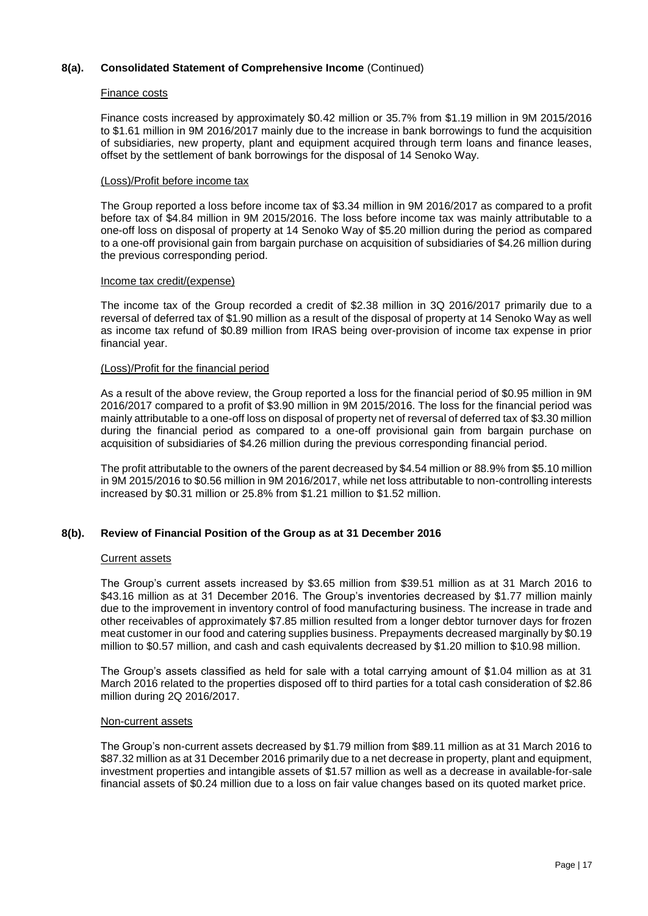### Finance costs

Finance costs increased by approximately \$0.42 million or 35.7% from \$1.19 million in 9M 2015/2016 to \$1.61 million in 9M 2016/2017 mainly due to the increase in bank borrowings to fund the acquisition of subsidiaries, new property, plant and equipment acquired through term loans and finance leases, offset by the settlement of bank borrowings for the disposal of 14 Senoko Way.

### (Loss)/Profit before income tax

The Group reported a loss before income tax of \$3.34 million in 9M 2016/2017 as compared to a profit before tax of \$4.84 million in 9M 2015/2016. The loss before income tax was mainly attributable to a one-off loss on disposal of property at 14 Senoko Way of \$5.20 million during the period as compared to a one-off provisional gain from bargain purchase on acquisition of subsidiaries of \$4.26 million during the previous corresponding period.

#### Income tax credit/(expense)

The income tax of the Group recorded a credit of \$2.38 million in 3Q 2016/2017 primarily due to a reversal of deferred tax of \$1.90 million as a result of the disposal of property at 14 Senoko Way as well as income tax refund of \$0.89 million from IRAS being over-provision of income tax expense in prior financial year.

#### (Loss)/Profit for the financial period

As a result of the above review, the Group reported a loss for the financial period of \$0.95 million in 9M 2016/2017 compared to a profit of \$3.90 million in 9M 2015/2016. The loss for the financial period was mainly attributable to a one-off loss on disposal of property net of reversal of deferred tax of \$3.30 million during the financial period as compared to a one-off provisional gain from bargain purchase on acquisition of subsidiaries of \$4.26 million during the previous corresponding financial period.

The profit attributable to the owners of the parent decreased by \$4.54 million or 88.9% from \$5.10 million in 9M 2015/2016 to \$0.56 million in 9M 2016/2017, while net loss attributable to non-controlling interests increased by \$0.31 million or 25.8% from \$1.21 million to \$1.52 million.

### **8(b). Review of Financial Position of the Group as at 31 December 2016**

#### Current assets

The Group's current assets increased by \$3.65 million from \$39.51 million as at 31 March 2016 to \$43.16 million as at 31 December 2016. The Group's inventories decreased by \$1.77 million mainly due to the improvement in inventory control of food manufacturing business. The increase in trade and other receivables of approximately \$7.85 million resulted from a longer debtor turnover days for frozen meat customer in our food and catering supplies business. Prepayments decreased marginally by \$0.19 million to \$0.57 million, and cash and cash equivalents decreased by \$1.20 million to \$10.98 million.

The Group's assets classified as held for sale with a total carrying amount of \$1.04 million as at 31 March 2016 related to the properties disposed off to third parties for a total cash consideration of \$2.86 million during 2Q 2016/2017.

#### Non-current assets

The Group's non-current assets decreased by \$1.79 million from \$89.11 million as at 31 March 2016 to \$87.32 million as at 31 December 2016 primarily due to a net decrease in property, plant and equipment, investment properties and intangible assets of \$1.57 million as well as a decrease in available-for-sale financial assets of \$0.24 million due to a loss on fair value changes based on its quoted market price.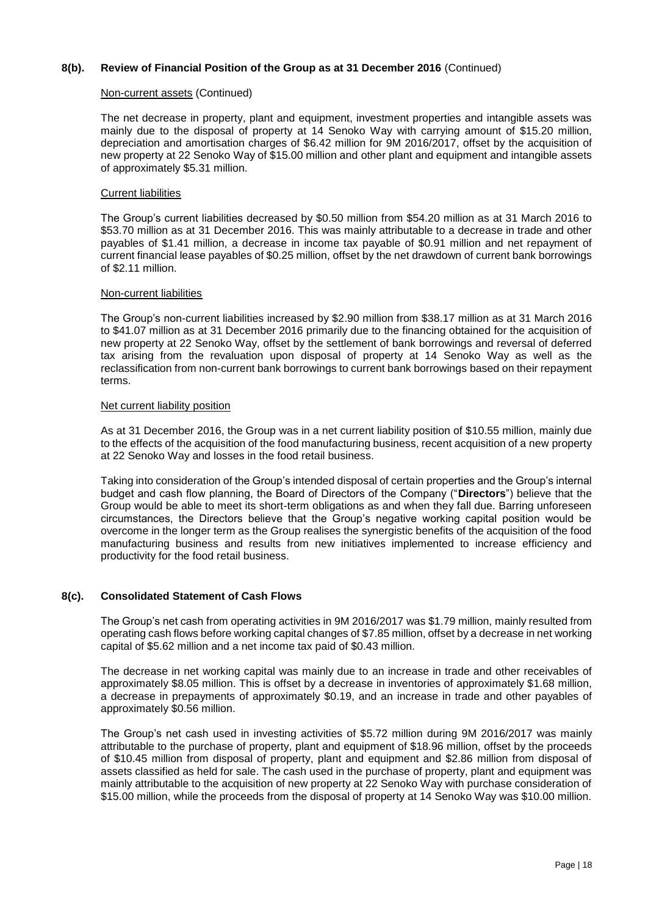### **8(b). Review of Financial Position of the Group as at 31 December 2016** (Continued)

### Non-current assets (Continued)

The net decrease in property, plant and equipment, investment properties and intangible assets was mainly due to the disposal of property at 14 Senoko Way with carrying amount of \$15.20 million, depreciation and amortisation charges of \$6.42 million for 9M 2016/2017, offset by the acquisition of new property at 22 Senoko Way of \$15.00 million and other plant and equipment and intangible assets of approximately \$5.31 million.

### Current liabilities

The Group's current liabilities decreased by \$0.50 million from \$54.20 million as at 31 March 2016 to \$53.70 million as at 31 December 2016. This was mainly attributable to a decrease in trade and other payables of \$1.41 million, a decrease in income tax payable of \$0.91 million and net repayment of current financial lease payables of \$0.25 million, offset by the net drawdown of current bank borrowings of \$2.11 million.

#### Non-current liabilities

The Group's non-current liabilities increased by \$2.90 million from \$38.17 million as at 31 March 2016 to \$41.07 million as at 31 December 2016 primarily due to the financing obtained for the acquisition of new property at 22 Senoko Way, offset by the settlement of bank borrowings and reversal of deferred tax arising from the revaluation upon disposal of property at 14 Senoko Way as well as the reclassification from non-current bank borrowings to current bank borrowings based on their repayment terms.

#### Net current liability position

As at 31 December 2016, the Group was in a net current liability position of \$10.55 million, mainly due to the effects of the acquisition of the food manufacturing business, recent acquisition of a new property at 22 Senoko Way and losses in the food retail business.

Taking into consideration of the Group's intended disposal of certain properties and the Group's internal budget and cash flow planning, the Board of Directors of the Company ("**Directors**") believe that the Group would be able to meet its short-term obligations as and when they fall due. Barring unforeseen circumstances, the Directors believe that the Group's negative working capital position would be overcome in the longer term as the Group realises the synergistic benefits of the acquisition of the food manufacturing business and results from new initiatives implemented to increase efficiency and productivity for the food retail business.

### **8(c). Consolidated Statement of Cash Flows**

The Group's net cash from operating activities in 9M 2016/2017 was \$1.79 million, mainly resulted from operating cash flows before working capital changes of \$7.85 million, offset by a decrease in net working capital of \$5.62 million and a net income tax paid of \$0.43 million.

The decrease in net working capital was mainly due to an increase in trade and other receivables of approximately \$8.05 million. This is offset by a decrease in inventories of approximately \$1.68 million, a decrease in prepayments of approximately \$0.19, and an increase in trade and other payables of approximately \$0.56 million.

The Group's net cash used in investing activities of \$5.72 million during 9M 2016/2017 was mainly attributable to the purchase of property, plant and equipment of \$18.96 million, offset by the proceeds of \$10.45 million from disposal of property, plant and equipment and \$2.86 million from disposal of assets classified as held for sale. The cash used in the purchase of property, plant and equipment was mainly attributable to the acquisition of new property at 22 Senoko Way with purchase consideration of \$15.00 million, while the proceeds from the disposal of property at 14 Senoko Way was \$10.00 million.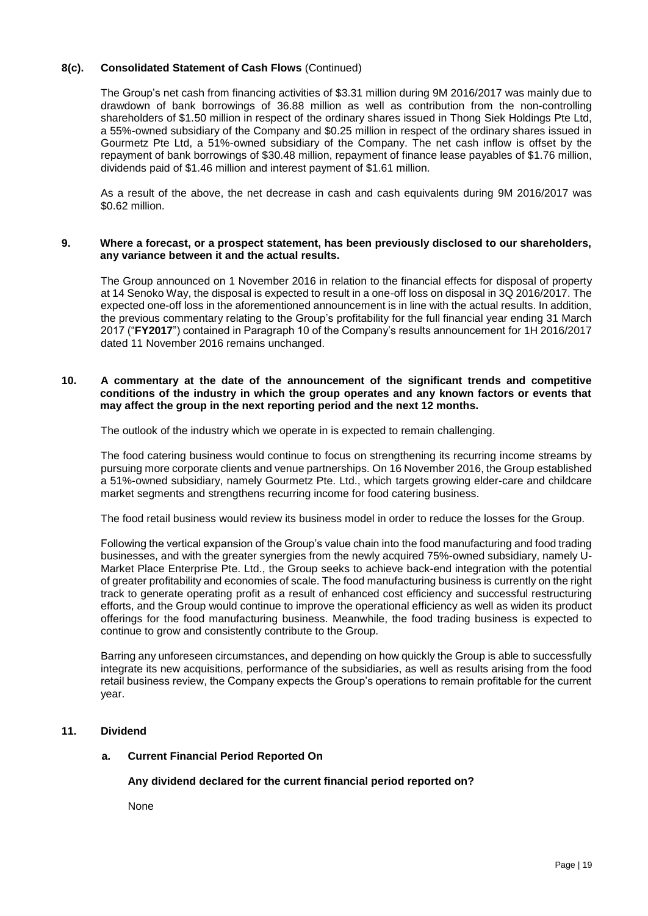### **8(c). Consolidated Statement of Cash Flows** (Continued)

The Group's net cash from financing activities of \$3.31 million during 9M 2016/2017 was mainly due to drawdown of bank borrowings of 36.88 million as well as contribution from the non-controlling shareholders of \$1.50 million in respect of the ordinary shares issued in Thong Siek Holdings Pte Ltd, a 55%-owned subsidiary of the Company and \$0.25 million in respect of the ordinary shares issued in Gourmetz Pte Ltd, a 51%-owned subsidiary of the Company. The net cash inflow is offset by the repayment of bank borrowings of \$30.48 million, repayment of finance lease payables of \$1.76 million, dividends paid of \$1.46 million and interest payment of \$1.61 million.

As a result of the above, the net decrease in cash and cash equivalents during 9M 2016/2017 was \$0.62 million.

### **9. Where a forecast, or a prospect statement, has been previously disclosed to our shareholders, any variance between it and the actual results.**

The Group announced on 1 November 2016 in relation to the financial effects for disposal of property at 14 Senoko Way, the disposal is expected to result in a one-off loss on disposal in 3Q 2016/2017. The expected one-off loss in the aforementioned announcement is in line with the actual results. In addition, the previous commentary relating to the Group's profitability for the full financial year ending 31 March 2017 ("**FY2017**") contained in Paragraph 10 of the Company's results announcement for 1H 2016/2017 dated 11 November 2016 remains unchanged.

### **10. A commentary at the date of the announcement of the significant trends and competitive conditions of the industry in which the group operates and any known factors or events that may affect the group in the next reporting period and the next 12 months.**

The outlook of the industry which we operate in is expected to remain challenging.

The food catering business would continue to focus on strengthening its recurring income streams by pursuing more corporate clients and venue partnerships. On 16 November 2016, the Group established a 51%-owned subsidiary, namely Gourmetz Pte. Ltd., which targets growing elder-care and childcare market segments and strengthens recurring income for food catering business.

The food retail business would review its business model in order to reduce the losses for the Group.

Following the vertical expansion of the Group's value chain into the food manufacturing and food trading businesses, and with the greater synergies from the newly acquired 75%-owned subsidiary, namely U-Market Place Enterprise Pte. Ltd., the Group seeks to achieve back-end integration with the potential of greater profitability and economies of scale. The food manufacturing business is currently on the right track to generate operating profit as a result of enhanced cost efficiency and successful restructuring efforts, and the Group would continue to improve the operational efficiency as well as widen its product offerings for the food manufacturing business. Meanwhile, the food trading business is expected to continue to grow and consistently contribute to the Group.

Barring any unforeseen circumstances, and depending on how quickly the Group is able to successfully integrate its new acquisitions, performance of the subsidiaries, as well as results arising from the food retail business review, the Company expects the Group's operations to remain profitable for the current year.

### **11. Dividend**

### **a. Current Financial Period Reported On**

### **Any dividend declared for the current financial period reported on?**

None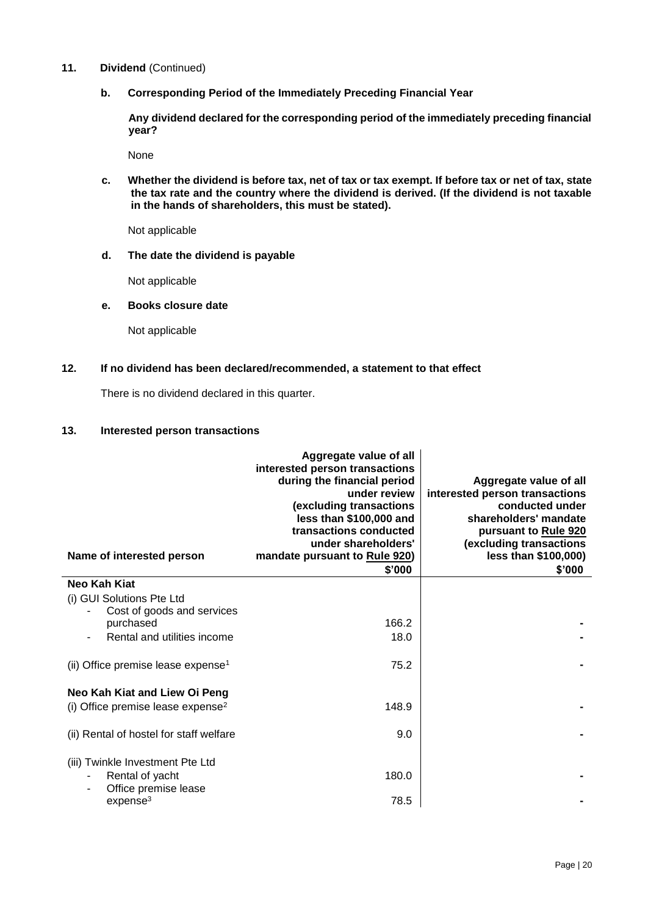- **11. Dividend** (Continued)
	- **b. Corresponding Period of the Immediately Preceding Financial Year**

**Any dividend declared for the corresponding period of the immediately preceding financial year?**

None

**c. Whether the dividend is before tax, net of tax or tax exempt. If before tax or net of tax, state the tax rate and the country where the dividend is derived. (If the dividend is not taxable in the hands of shareholders, this must be stated).**

Not applicable

**d. The date the dividend is payable**

Not applicable

### **e. Books closure date**

Not applicable

**12. If no dividend has been declared/recommended, a statement to that effect**

There is no dividend declared in this quarter.

### **13. Interested person transactions**

| Name of interested person                      | Aggregate value of all<br>interested person transactions<br>during the financial period<br>under review<br>(excluding transactions<br>less than \$100,000 and<br>transactions conducted<br>under shareholders'<br>mandate pursuant to Rule 920)<br>\$'000 | Aggregate value of all<br>interested person transactions<br>conducted under<br>shareholders' mandate<br>pursuant to Rule 920<br>(excluding transactions<br>less than \$100,000)<br>\$'000 |
|------------------------------------------------|-----------------------------------------------------------------------------------------------------------------------------------------------------------------------------------------------------------------------------------------------------------|-------------------------------------------------------------------------------------------------------------------------------------------------------------------------------------------|
| <b>Neo Kah Kiat</b>                            |                                                                                                                                                                                                                                                           |                                                                                                                                                                                           |
| (i) GUI Solutions Pte Ltd                      |                                                                                                                                                                                                                                                           |                                                                                                                                                                                           |
| Cost of goods and services                     |                                                                                                                                                                                                                                                           |                                                                                                                                                                                           |
| purchased                                      | 166.2                                                                                                                                                                                                                                                     |                                                                                                                                                                                           |
| Rental and utilities income                    | 18.0                                                                                                                                                                                                                                                      |                                                                                                                                                                                           |
| (ii) Office premise lease expense <sup>1</sup> | 75.2                                                                                                                                                                                                                                                      |                                                                                                                                                                                           |
| Neo Kah Kiat and Liew Oi Peng                  |                                                                                                                                                                                                                                                           |                                                                                                                                                                                           |
| (i) Office premise lease expense <sup>2</sup>  | 148.9                                                                                                                                                                                                                                                     |                                                                                                                                                                                           |
| (ii) Rental of hostel for staff welfare        | 9.0                                                                                                                                                                                                                                                       |                                                                                                                                                                                           |
| (iii) Twinkle Investment Pte Ltd               |                                                                                                                                                                                                                                                           |                                                                                                                                                                                           |
| Rental of yacht                                | 180.0                                                                                                                                                                                                                                                     |                                                                                                                                                                                           |
| Office premise lease                           |                                                                                                                                                                                                                                                           |                                                                                                                                                                                           |
| expense <sup>3</sup>                           | 78.5                                                                                                                                                                                                                                                      |                                                                                                                                                                                           |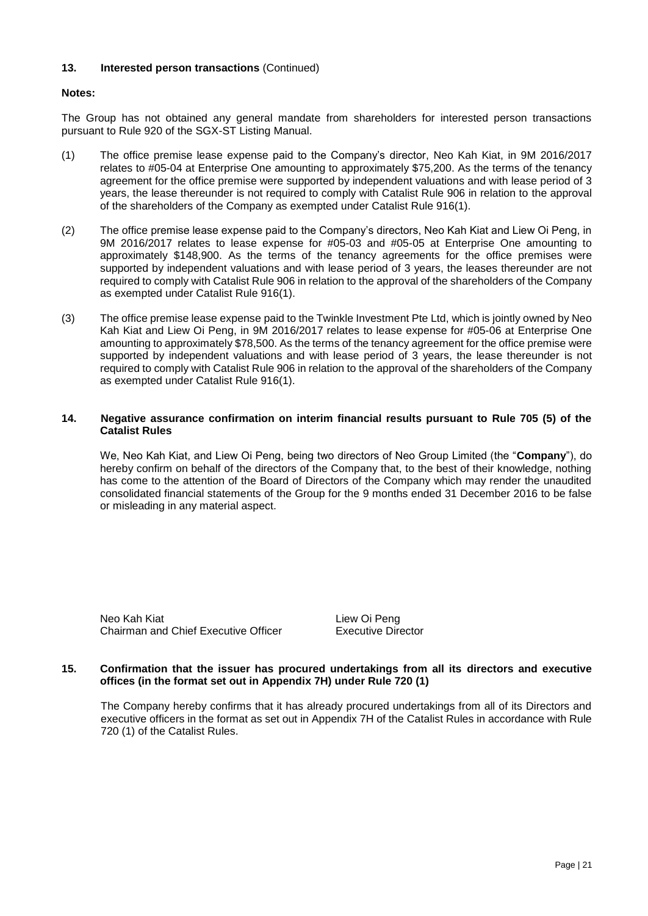### **13. Interested person transactions** (Continued)

### **Notes:**

The Group has not obtained any general mandate from shareholders for interested person transactions pursuant to Rule 920 of the SGX-ST Listing Manual.

- (1) The office premise lease expense paid to the Company's director, Neo Kah Kiat, in 9M 2016/2017 relates to #05-04 at Enterprise One amounting to approximately \$75,200. As the terms of the tenancy agreement for the office premise were supported by independent valuations and with lease period of 3 years, the lease thereunder is not required to comply with Catalist Rule 906 in relation to the approval of the shareholders of the Company as exempted under Catalist Rule 916(1).
- (2) The office premise lease expense paid to the Company's directors, Neo Kah Kiat and Liew Oi Peng, in 9M 2016/2017 relates to lease expense for #05-03 and #05-05 at Enterprise One amounting to approximately \$148,900. As the terms of the tenancy agreements for the office premises were supported by independent valuations and with lease period of 3 years, the leases thereunder are not required to comply with Catalist Rule 906 in relation to the approval of the shareholders of the Company as exempted under Catalist Rule 916(1).
- (3) The office premise lease expense paid to the Twinkle Investment Pte Ltd, which is jointly owned by Neo Kah Kiat and Liew Oi Peng, in 9M 2016/2017 relates to lease expense for #05-06 at Enterprise One amounting to approximately \$78,500. As the terms of the tenancy agreement for the office premise were supported by independent valuations and with lease period of 3 years, the lease thereunder is not required to comply with Catalist Rule 906 in relation to the approval of the shareholders of the Company as exempted under Catalist Rule 916(1).

### **14. Negative assurance confirmation on interim financial results pursuant to Rule 705 (5) of the Catalist Rules**

We, Neo Kah Kiat, and Liew Oi Peng, being two directors of Neo Group Limited (the "**Company**"), do hereby confirm on behalf of the directors of the Company that, to the best of their knowledge, nothing has come to the attention of the Board of Directors of the Company which may render the unaudited consolidated financial statements of the Group for the 9 months ended 31 December 2016 to be false or misleading in any material aspect.

Neo Kah Kiat **Liew Oi Peng** Chairman and Chief Executive Officer Executive Director

### **15. Confirmation that the issuer has procured undertakings from all its directors and executive offices (in the format set out in Appendix 7H) under Rule 720 (1)**

The Company hereby confirms that it has already procured undertakings from all of its Directors and executive officers in the format as set out in Appendix 7H of the Catalist Rules in accordance with Rule 720 (1) of the Catalist Rules.